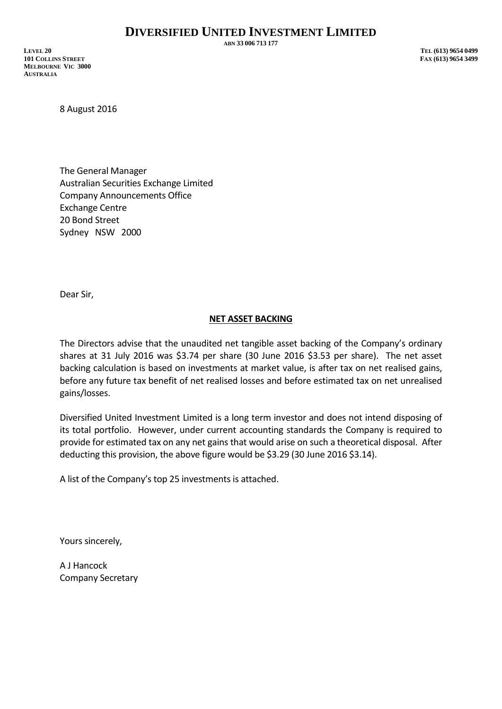**ABN 33 006 713 177**

**LEVEL 20 TEL (613) 9654 0499 101 COLLINS STREET FAX (613) 9654 3499 MELBOURNE VIC 3000 AUSTRALIA**

8 August 2016

The General Manager Australian Securities Exchange Limited Company Announcements Office Exchange Centre 20 Bond Street Sydney NSW 2000

Dear Sir,

## **NET ASSET BACKING**

The Directors advise that the unaudited net tangible asset backing of the Company's ordinary shares at 31 July 2016 was \$3.74 per share (30 June 2016 \$3.53 per share). The net asset backing calculation is based on investments at market value, is after tax on net realised gains, before any future tax benefit of net realised losses and before estimated tax on net unrealised gains/losses.

Diversified United Investment Limited is a long term investor and does not intend disposing of its total portfolio. However, under current accounting standards the Company is required to provide for estimated tax on any net gains that would arise on such a theoretical disposal. After deducting this provision, the above figure would be \$3.29 (30 June 2016 \$3.14).

A list of the Company's top 25 investments is attached.

Yours sincerely,

A J Hancock Company Secretary